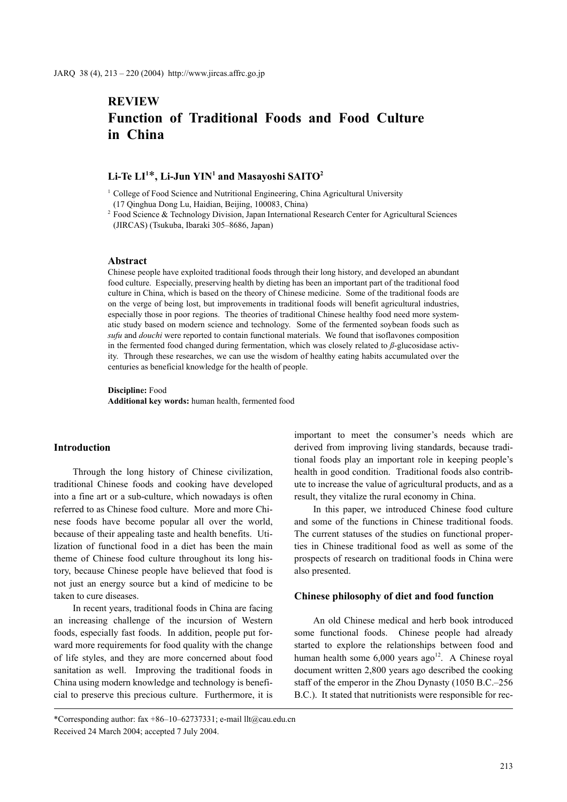# **REVIEW Function of Traditional Foods and Food Culture in China**

# **Li-Te LI1** \***, Li-Jun YIN1 and Masayoshi SAITO2**

<sup>1</sup> College of Food Science and Nutritional Engineering, China Agricultural University

(17 Qinghua Dong Lu, Haidian, Beijing, 100083, China)

<sup>2</sup> Food Science & Technology Division, Japan International Research Center for Agricultural Sciences (JIRCAS) (Tsukuba, Ibaraki 305–8686, Japan)

#### **Abstract**

Chinese people have exploited traditional foods through their long history, and developed an abundant food culture. Especially, preserving health by dieting has been an important part of the traditional food culture in China, which is based on the theory of Chinese medicine. Some of the traditional foods are on the verge of being lost, but improvements in traditional foods will benefit agricultural industries, especially those in poor regions. The theories of traditional Chinese healthy food need more systematic study based on modern science and technology. Some of the fermented soybean foods such as *sufu* and *douchi* were reported to contain functional materials. We found that isoflavones composition in the fermented food changed during fermentation, which was closely related to *ß*-glucosidase activity. Through these researches, we can use the wisdom of healthy eating habits accumulated over the centuries as beneficial knowledge for the health of people.

**Discipline:** Food **Additional key words:** human health, fermented food

## **Introduction**

Through the long history of Chinese civilization, traditional Chinese foods and cooking have developed into a fine art or a sub-culture, which nowadays is often referred to as Chinese food culture. More and more Chinese foods have become popular all over the world, because of their appealing taste and health benefits. Utilization of functional food in a diet has been the main theme of Chinese food culture throughout its long history, because Chinese people have believed that food is not just an energy source but a kind of medicine to be taken to cure diseases.

In recent years, traditional foods in China are facing an increasing challenge of the incursion of Western foods, especially fast foods. In addition, people put forward more requirements for food quality with the change of life styles, and they are more concerned about food sanitation as well. Improving the traditional foods in China using modern knowledge and technology is beneficial to preserve this precious culture. Furthermore, it is

\*Corresponding author: fax  $+86-10-62737331$ ; e-mail llt@cau.edu.cn Received 24 March 2004; accepted 7 July 2004.

important to meet the consumer's needs which are derived from improving living standards, because traditional foods play an important role in keeping people's health in good condition. Traditional foods also contribute to increase the value of agricultural products, and as a result, they vitalize the rural economy in China.

In this paper, we introduced Chinese food culture and some of the functions in Chinese traditional foods. The current statuses of the studies on functional properties in Chinese traditional food as well as some of the prospects of research on traditional foods in China were also presented.

#### **Chinese philosophy of diet and food function**

An old Chinese medical and herb book introduced some functional foods. Chinese people had already started to explore the relationships between food and human health some  $6,000$  years ago<sup>12</sup>. A Chinese royal document written 2,800 years ago described the cooking staff of the emperor in the Zhou Dynasty (1050 B.C.–256 B.C.). It stated that nutritionists were responsible for rec-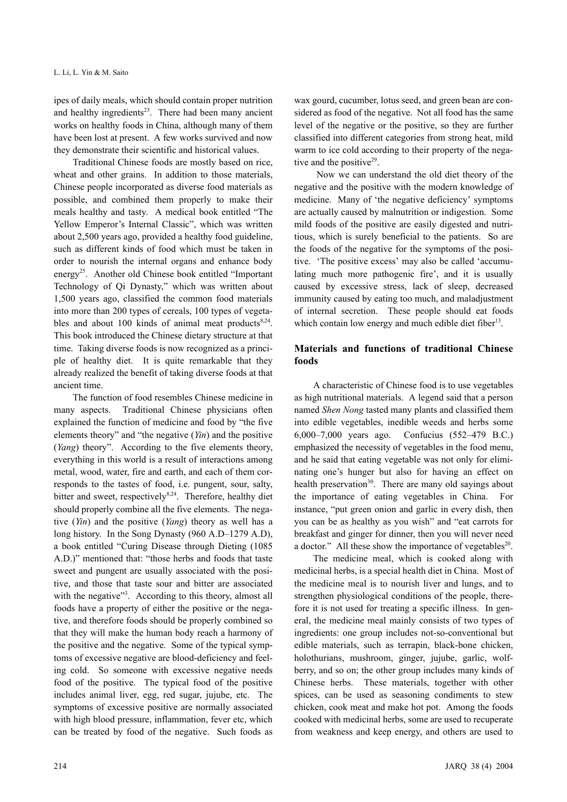ipes of daily meals, which should contain proper nutrition and healthy ingredients $2<sup>3</sup>$ . There had been many ancient works on healthy foods in China, although many of them have been lost at present. A few works survived and now they demonstrate their scientific and historical values.

Traditional Chinese foods are mostly based on rice, wheat and other grains. In addition to those materials, Chinese people incorporated as diverse food materials as possible, and combined them properly to make their meals healthy and tasty. A medical book entitled "The Yellow Emperor's Internal Classic", which was written about 2,500 years ago, provided a healthy food guideline, such as different kinds of food which must be taken in order to nourish the internal organs and enhance body energy25. Another old Chinese book entitled "Important Technology of Qi Dynasty," which was written about 1,500 years ago, classified the common food materials into more than 200 types of cereals, 100 types of vegetables and about 100 kinds of animal meat products $8,24$ . This book introduced the Chinese dietary structure at that time. Taking diverse foods is now recognized as a principle of healthy diet. It is quite remarkable that they already realized the benefit of taking diverse foods at that ancient time.

The function of food resembles Chinese medicine in many aspects. Traditional Chinese physicians often explained the function of medicine and food by "the five elements theory" and "the negative (*Yin*) and the positive (*Yang*) theory". According to the five elements theory, everything in this world is a result of interactions among metal, wood, water, fire and earth, and each of them corresponds to the tastes of food, i.e. pungent, sour, salty, bitter and sweet, respectively<sup>8,24</sup>. Therefore, healthy diet should properly combine all the five elements. The negative (*Yin*) and the positive (*Yang*) theory as well has a long history. In the Song Dynasty (960 A.D–1279 A.D), a book entitled "Curing Disease through Dieting (1085 A.D.)" mentioned that: "those herbs and foods that taste sweet and pungent are usually associated with the positive, and those that taste sour and bitter are associated with the negative"<sup>3</sup>. According to this theory, almost all foods have a property of either the positive or the negative, and therefore foods should be properly combined so that they will make the human body reach a harmony of the positive and the negative. Some of the typical symptoms of excessive negative are blood-deficiency and feeling cold. So someone with excessive negative needs food of the positive. The typical food of the positive includes animal liver, egg, red sugar, jujube, etc. The symptoms of excessive positive are normally associated with high blood pressure, inflammation, fever etc, which can be treated by food of the negative. Such foods as wax gourd, cucumber, lotus seed, and green bean are considered as food of the negative. Not all food has the same level of the negative or the positive, so they are further classified into different categories from strong heat, mild warm to ice cold according to their property of the negative and the positive $29$ .

 Now we can understand the old diet theory of the negative and the positive with the modern knowledge of medicine. Many of 'the negative deficiency' symptoms are actually caused by malnutrition or indigestion. Some mild foods of the positive are easily digested and nutritious, which is surely beneficial to the patients. So are the foods of the negative for the symptoms of the positive. 'The positive excess' may also be called 'accumulating much more pathogenic fire', and it is usually caused by excessive stress, lack of sleep, decreased immunity caused by eating too much, and maladjustment of internal secretion. These people should eat foods which contain low energy and much edible diet fiber $13$ .

# **Materials and functions of traditional Chinese foods**

A characteristic of Chinese food is to use vegetables as high nutritional materials. A legend said that a person named *Shen Nong* tasted many plants and classified them into edible vegetables, inedible weeds and herbs some 6,000–7,000 years ago. Confucius (552–479 B.C.) emphasized the necessity of vegetables in the food menu, and he said that eating vegetable was not only for eliminating one's hunger but also for having an effect on health preservation<sup>30</sup>. There are many old sayings about the importance of eating vegetables in China. For instance, "put green onion and garlic in every dish, then you can be as healthy as you wish" and "eat carrots for breakfast and ginger for dinner, then you will never need a doctor." All these show the importance of vegetables<sup>20</sup>.

The medicine meal, which is cooked along with medicinal herbs, is a special health diet in China. Most of the medicine meal is to nourish liver and lungs, and to strengthen physiological conditions of the people, therefore it is not used for treating a specific illness. In general, the medicine meal mainly consists of two types of ingredients: one group includes not-so-conventional but edible materials, such as terrapin, black-bone chicken, holothurians, mushroom, ginger, jujube, garlic, wolfberry, and so on; the other group includes many kinds of Chinese herbs. These materials, together with other spices, can be used as seasoning condiments to stew chicken, cook meat and make hot pot. Among the foods cooked with medicinal herbs, some are used to recuperate from weakness and keep energy, and others are used to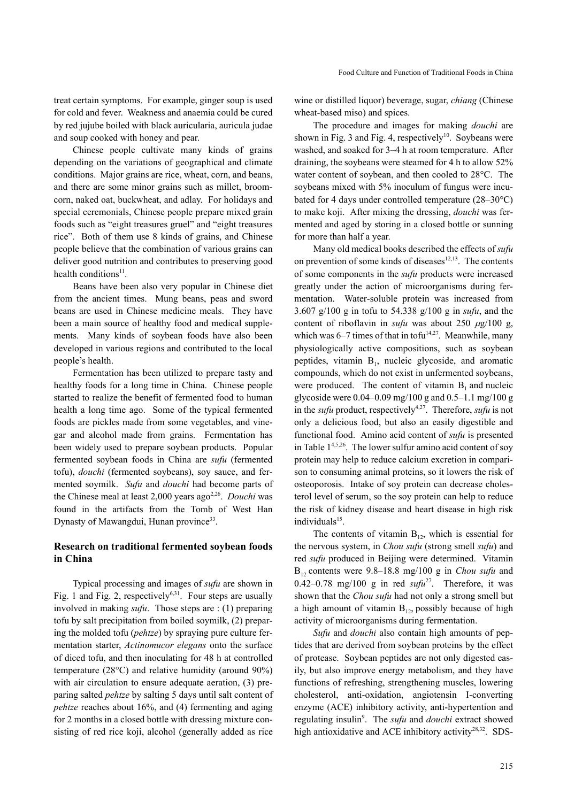treat certain symptoms. For example, ginger soup is used for cold and fever. Weakness and anaemia could be cured by red jujube boiled with black auricularia, auricula judae and soup cooked with honey and pear.

Chinese people cultivate many kinds of grains depending on the variations of geographical and climate conditions. Major grains are rice, wheat, corn, and beans, and there are some minor grains such as millet, broomcorn, naked oat, buckwheat, and adlay. For holidays and special ceremonials, Chinese people prepare mixed grain foods such as "eight treasures gruel" and "eight treasures rice". Both of them use 8 kinds of grains, and Chinese people believe that the combination of various grains can deliver good nutrition and contributes to preserving good health conditions<sup>11</sup>.

Beans have been also very popular in Chinese diet from the ancient times. Mung beans, peas and sword beans are used in Chinese medicine meals. They have been a main source of healthy food and medical supplements. Many kinds of soybean foods have also been developed in various regions and contributed to the local people's health.

Fermentation has been utilized to prepare tasty and healthy foods for a long time in China. Chinese people started to realize the benefit of fermented food to human health a long time ago. Some of the typical fermented foods are pickles made from some vegetables, and vinegar and alcohol made from grains. Fermentation has been widely used to prepare soybean products. Popular fermented soybean foods in China are *sufu* (fermented tofu), *douchi* (fermented soybeans), soy sauce, and fermented soymilk. *Sufu* and *douchi* had become parts of the Chinese meal at least 2,000 years ago<sup>2,26</sup>. *Douchi* was found in the artifacts from the Tomb of West Han Dynasty of Mawangdui, Hunan province<sup>33</sup>.

## **Research on traditional fermented soybean foods in China**

Typical processing and images of *sufu* are shown in Fig. 1 and Fig. 2, respectively<sup>6,31</sup>. Four steps are usually involved in making *sufu*. Those steps are : (1) preparing tofu by salt precipitation from boiled soymilk, (2) preparing the molded tofu (*pehtze*) by spraying pure culture fermentation starter, *Actinomucor elegans* onto the surface of diced tofu, and then inoculating for 48 h at controlled temperature (28°C) and relative humidity (around 90%) with air circulation to ensure adequate aeration, (3) preparing salted *pehtze* by salting 5 days until salt content of *pehtze* reaches about 16%, and (4) fermenting and aging for 2 months in a closed bottle with dressing mixture consisting of red rice koji, alcohol (generally added as rice wine or distilled liquor) beverage, sugar, *chiang* (Chinese wheat-based miso) and spices.

The procedure and images for making *douchi* are shown in Fig. 3 and Fig. 4, respectively<sup>10</sup>. Soybeans were washed, and soaked for 3–4 h at room temperature. After draining, the soybeans were steamed for 4 h to allow 52% water content of soybean, and then cooled to 28°C. The soybeans mixed with 5% inoculum of fungus were incubated for 4 days under controlled temperature (28–30°C) to make koji. After mixing the dressing, *douchi* was fermented and aged by storing in a closed bottle or sunning for more than half a year.

Many old medical books described the effects of *sufu* on prevention of some kinds of diseases $12,13$ . The contents of some components in the *sufu* products were increased greatly under the action of microorganisms during fermentation. Water-soluble protein was increased from 3.607 g/100 g in tofu to 54.338 g/100 g in *sufu*, and the content of riboflavin in *sufu* was about 250  $\mu$ g/100 g, which was 6–7 times of that in tofu<sup>14,27</sup>. Meanwhile, many physiologically active compositions, such as soybean peptides, vitamin  $B<sub>1</sub>$ , nucleic glycoside, and aromatic compounds, which do not exist in unfermented soybeans, were produced. The content of vitamin  $B_1$  and nucleic glycoside were  $0.04 - 0.09$  mg/ $100$  g and  $0.5 - 1.1$  mg/ $100$  g in the *sufu* product, respectively<sup>4,27</sup>. Therefore, *sufu* is not only a delicious food, but also an easily digestible and functional food. Amino acid content of *sufu* is presented in Table  $1<sup>4,5,26</sup>$ . The lower sulfur amino acid content of soy protein may help to reduce calcium excretion in comparison to consuming animal proteins, so it lowers the risk of osteoporosis. Intake of soy protein can decrease cholesterol level of serum, so the soy protein can help to reduce the risk of kidney disease and heart disease in high risk  $individuals<sup>15</sup>$ .

The contents of vitamin  $B_{12}$ , which is essential for the nervous system, in *Chou sufu* (strong smell *sufu*) and red *sufu* produced in Beijing were determined. Vitamin  $B_{12}$  contents were 9.8–18.8 mg/100 g in *Chou sufu* and 0.42–0.78 mg/100 g in red  $\frac{sqrt^{27}}{1}$ . Therefore, it was shown that the *Chou sufu* had not only a strong smell but a high amount of vitamin  $B_{12}$ , possibly because of high activity of microorganisms during fermentation.

*Sufu* and *douchi* also contain high amounts of peptides that are derived from soybean proteins by the effect of protease. Soybean peptides are not only digested easily, but also improve energy metabolism, and they have functions of refreshing, strengthening muscles, lowering cholesterol, anti-oxidation, angiotensin I-converting enzyme (ACE) inhibitory activity, anti-hypertention and regulating insulin<sup>9</sup>. The *sufu* and *douchi* extract showed high antioxidative and ACE inhibitory activity<sup>28,32</sup>. SDS-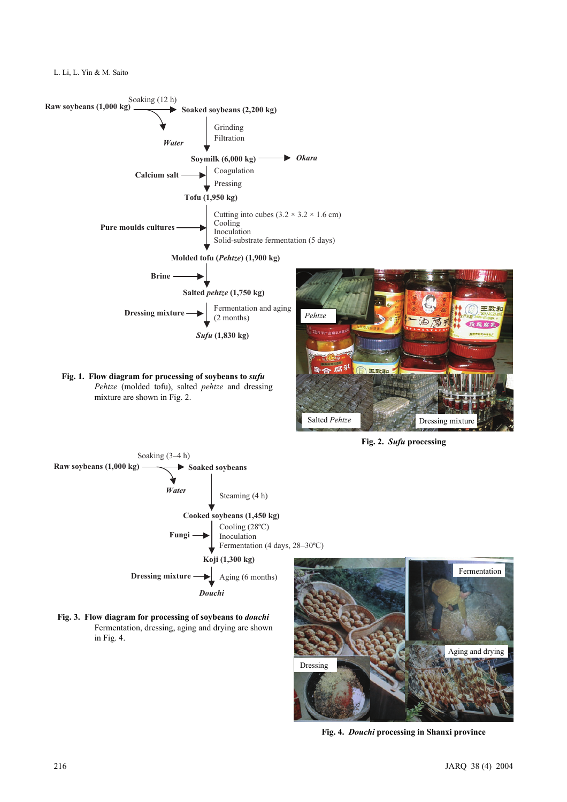L. Li, L. Yin & M. Saito



**Fig. 2.** *Sufu* **processing**



**Fig. 3. Flow diagram for processing of soybeans to** *douchi* Fermentation, dressing, aging and drying are shown in Fig. 4.



**Fig. 4.** *Douchi* **processing in Shanxi province**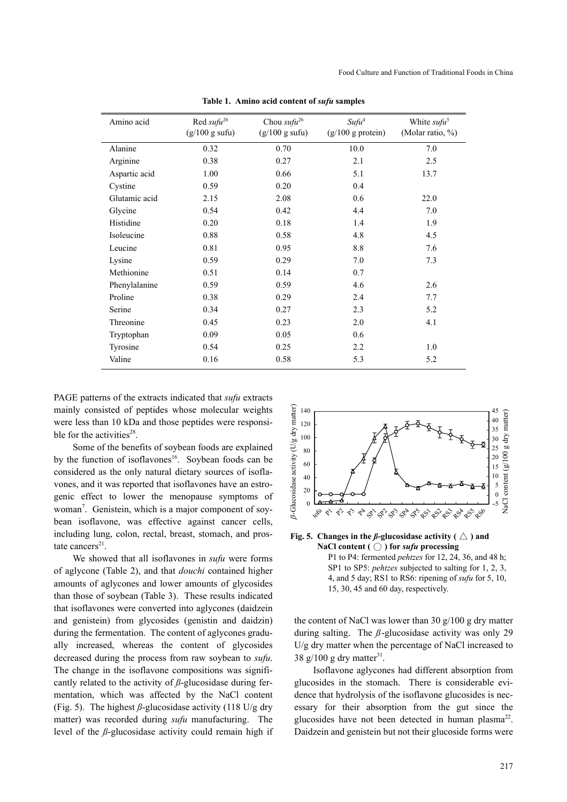| Amino acid    | Red sufu <sup>26</sup><br>(g/100 g sufu) | Chou sufu <sup>26</sup><br>(g/100 g sufu) | Sufu <sup>4</sup><br>$(g/100 g)$ protein) | White sufu <sup>5</sup><br>(Molar ratio, %) |
|---------------|------------------------------------------|-------------------------------------------|-------------------------------------------|---------------------------------------------|
| Alanine       | 0.32                                     | 0.70                                      | 10.0                                      | 7.0                                         |
| Arginine      | 0.38                                     | 0.27                                      | 2.1                                       | 2.5                                         |
| Aspartic acid | 1.00                                     | 0.66                                      | 5.1                                       | 13.7                                        |
| Cystine       | 0.59                                     | 0.20                                      | 0.4                                       |                                             |
| Glutamic acid | 2.15                                     | 2.08                                      | 0.6                                       | 22.0                                        |
| Glycine       | 0.54                                     | 0.42                                      | 4.4                                       | 7.0                                         |
| Histidine     | 0.20                                     | 0.18                                      | 1.4                                       | 1.9                                         |
| Isoleucine    | 0.88                                     | 0.58                                      | 4.8                                       | 4.5                                         |
| Leucine       | 0.81                                     | 0.95                                      | 8.8                                       | 7.6                                         |
| Lysine        | 0.59                                     | 0.29                                      | 7.0                                       | 7.3                                         |
| Methionine    | 0.51                                     | 0.14                                      | 0.7                                       |                                             |
| Phenylalanine | 0.59                                     | 0.59                                      | 4.6                                       | 2.6                                         |
| Proline       | 0.38                                     | 0.29                                      | 2.4                                       | 7.7                                         |
| Serine        | 0.34                                     | 0.27                                      | 2.3                                       | 5.2                                         |
| Threonine     | 0.45                                     | 0.23                                      | 2.0                                       | 4.1                                         |
| Tryptophan    | 0.09                                     | 0.05                                      | 0.6                                       |                                             |
| Tyrosine      | 0.54                                     | 0.25                                      | 2.2                                       | 1.0                                         |
| Valine        | 0.16                                     | 0.58                                      | 5.3                                       | 5.2                                         |

**Table 1. Amino acid content of** *sufu* **samples**

PAGE patterns of the extracts indicated that *sufu* extracts mainly consisted of peptides whose molecular weights were less than 10 kDa and those peptides were responsible for the activities $28$ .

Some of the benefits of soybean foods are explained by the function of isoflavones<sup>16</sup>. Soybean foods can be considered as the only natural dietary sources of isoflavones, and it was reported that isoflavones have an estrogenic effect to lower the menopause symptoms of woman<sup>7</sup>. Genistein, which is a major component of soybean isoflavone, was effective against cancer cells, including lung, colon, rectal, breast, stomach, and prostate cancers<sup>21</sup>.

We showed that all isoflavones in *sufu* were forms of aglycone (Table 2), and that *douchi* contained higher amounts of aglycones and lower amounts of glycosides than those of soybean (Table 3). These results indicated that isoflavones were converted into aglycones (daidzein and genistein) from glycosides (genistin and daidzin) during the fermentation. The content of aglycones gradually increased, whereas the content of glycosides decreased during the process from raw soybean to *sufu*. The change in the isoflavone compositions was significantly related to the activity of *ß*-glucosidase during fermentation, which was affected by the NaCl content (Fig. 5). The highest  $\beta$ -glucosidase activity (118 U/g dry matter) was recorded during *sufu* manufacturing. The level of the *ß*-glucosidase activity could remain high if





the content of NaCl was lower than 30 g/100 g dry matter during salting. The *ß*-glucosidase activity was only 29 U/g dry matter when the percentage of NaCl increased to 38 g/100 g dry matter<sup>31</sup>.

Isoflavone aglycones had different absorption from glucosides in the stomach. There is considerable evidence that hydrolysis of the isoflavone glucosides is necessary for their absorption from the gut since the glucosides have not been detected in human plasma<sup>22</sup>. Daidzein and genistein but not their glucoside forms were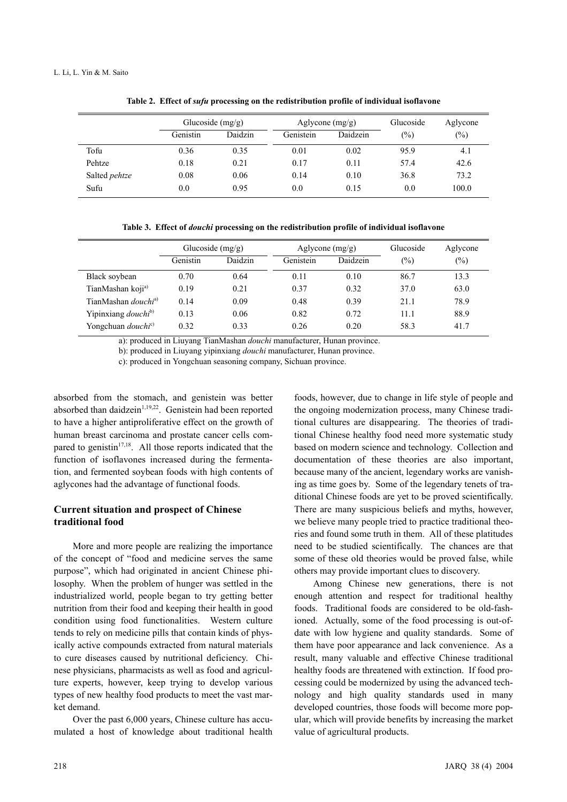|                      | Glucoside $(mg/g)$ |         | Aglycone $(mg/g)$ |          | Glucoside | Aglycone |
|----------------------|--------------------|---------|-------------------|----------|-----------|----------|
|                      | Genistin           | Daidzin | Genistein         | Daidzein | (%)       | $(\%)$   |
| Tofu                 | 0.36               | 0.35    | 0.01              | 0.02     | 95.9      | 4.1      |
| Pehtze               | 0.18               | 0.21    | 0.17              | 0.11     | 57.4      | 42.6     |
| Salted <i>pehtze</i> | 0.08               | 0.06    | 0.14              | 0.10     | 36.8      | 73.2     |
| Sufu                 | 0.0                | 0.95    | 0.0               | 0.15     | 0.0       | 100.0    |

**Table 2. Effect of** *sufu* **processing on the redistribution profile of individual isoflavone**

**Table 3. Effect of** *douchi* **processing on the redistribution profile of individual isoflavone**

|                                        | Glucoside $(mg/g)$ |         |           | Aglycone $(mg/g)$ |                | Aglycone |
|----------------------------------------|--------------------|---------|-----------|-------------------|----------------|----------|
|                                        | Genistin           | Daidzin | Genistein | Daidzein          | $\binom{0}{0}$ | $(\%)$   |
| Black soybean                          | 0.70               | 0.64    | 0.11      | 0.10              | 86.7           | 13.3     |
| TianMashan koji <sup>a)</sup>          | 0.19               | 0.21    | 0.37      | 0.32              | 37.0           | 63.0     |
| TianMashan <i>douchi</i> <sup>a)</sup> | 0.14               | 0.09    | 0.48      | 0.39              | 21.1           | 78.9     |
| Yipinxiang <i>douchi</i> <sup>b)</sup> | 0.13               | 0.06    | 0.82      | 0.72              | 11.1           | 88.9     |
| Yongchuan <i>douchi</i> <sup>c)</sup>  | 0.32               | 0.33    | 0.26      | 0.20              | 58.3           | 41.7     |

a): produced in Liuyang TianMashan *douchi* manufacturer, Hunan province.

b): produced in Liuyang yipinxiang *douchi* manufacturer, Hunan province.

c): produced in Yongchuan seasoning company, Sichuan province.

absorbed from the stomach, and genistein was better absorbed than daidzein $1,19,22$ . Genistein had been reported to have a higher antiproliferative effect on the growth of human breast carcinoma and prostate cancer cells compared to genistin<sup>17,18</sup>. All those reports indicated that the function of isoflavones increased during the fermentation, and fermented soybean foods with high contents of aglycones had the advantage of functional foods.

## **Current situation and prospect of Chinese traditional food**

More and more people are realizing the importance of the concept of "food and medicine serves the same purpose", which had originated in ancient Chinese philosophy. When the problem of hunger was settled in the industrialized world, people began to try getting better nutrition from their food and keeping their health in good condition using food functionalities. Western culture tends to rely on medicine pills that contain kinds of physically active compounds extracted from natural materials to cure diseases caused by nutritional deficiency. Chinese physicians, pharmacists as well as food and agriculture experts, however, keep trying to develop various types of new healthy food products to meet the vast market demand.

Over the past 6,000 years, Chinese culture has accumulated a host of knowledge about traditional health

foods, however, due to change in life style of people and the ongoing modernization process, many Chinese traditional cultures are disappearing. The theories of traditional Chinese healthy food need more systematic study based on modern science and technology. Collection and documentation of these theories are also important, because many of the ancient, legendary works are vanishing as time goes by. Some of the legendary tenets of traditional Chinese foods are yet to be proved scientifically. There are many suspicious beliefs and myths, however, we believe many people tried to practice traditional theories and found some truth in them. All of these platitudes need to be studied scientifically. The chances are that some of these old theories would be proved false, while others may provide important clues to discovery.

Among Chinese new generations, there is not enough attention and respect for traditional healthy foods. Traditional foods are considered to be old-fashioned. Actually, some of the food processing is out-ofdate with low hygiene and quality standards. Some of them have poor appearance and lack convenience. As a result, many valuable and effective Chinese traditional healthy foods are threatened with extinction. If food processing could be modernized by using the advanced technology and high quality standards used in many developed countries, those foods will become more popular, which will provide benefits by increasing the market value of agricultural products.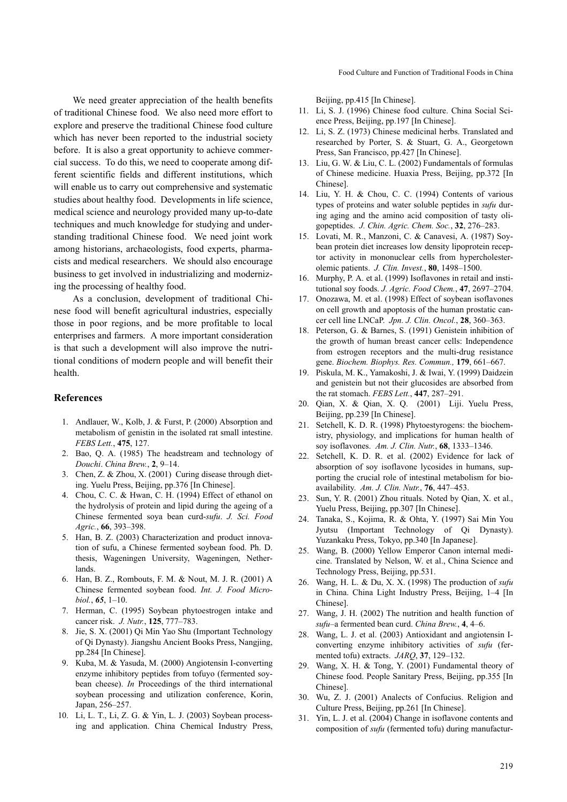We need greater appreciation of the health benefits of traditional Chinese food. We also need more effort to explore and preserve the traditional Chinese food culture which has never been reported to the industrial society before. It is also a great opportunity to achieve commercial success. To do this, we need to cooperate among different scientific fields and different institutions, which will enable us to carry out comprehensive and systematic studies about healthy food. Developments in life science, medical science and neurology provided many up-to-date techniques and much knowledge for studying and understanding traditional Chinese food. We need joint work among historians, archaeologists, food experts, pharmacists and medical researchers. We should also encourage business to get involved in industrializing and modernizing the processing of healthy food.

As a conclusion, development of traditional Chinese food will benefit agricultural industries, especially those in poor regions, and be more profitable to local enterprises and farmers. A more important consideration is that such a development will also improve the nutritional conditions of modern people and will benefit their health.

#### **References**

- 1. Andlauer, W., Kolb, J. & Furst, P. (2000) Absorption and metabolism of genistin in the isolated rat small intestine. *FEBS Lett.*, **475**, 127.
- 2. Bao, Q. A. (1985) The headstream and technology of *Douchi*. *China Brew.*, **2**, 9–14.
- 3. Chen, Z. & Zhou, X. (2001) Curing disease through dieting. Yuelu Press, Beijing, pp.376 [In Chinese].
- 4. Chou, C. C. & Hwan, C. H. (1994) Effect of ethanol on the hydrolysis of protein and lipid during the ageing of a Chinese fermented soya bean curd-*sufu*. *J. Sci. Food Agric.*, **66**, 393–398.
- 5. Han, B. Z. (2003) Characterization and product innovation of sufu, a Chinese fermented soybean food. Ph. D. thesis, Wageningen University, Wageningen, Netherlands.
- 6. Han, B. Z., Rombouts, F. M. & Nout, M. J. R. (2001) A Chinese fermented soybean food. *Int. J. Food Microbiol.*, *65*, 1–10.
- 7. Herman, C. (1995) Soybean phytoestrogen intake and cancer risk. *J. Nutr.*, **125**, 777–783.
- 8. Jie, S. X. (2001) Qi Min Yao Shu (Important Technology of Qi Dynasty). Jiangshu Ancient Books Press, Nangjing, pp.284 [In Chinese].
- 9. Kuba, M. & Yasuda, M. (2000) Angiotensin I-converting enzyme inhibitory peptides from tofuyo (fermented soybean cheese). *In* Proceedings of the third international soybean processing and utilization conference, Korin, Japan, 256–257.
- 10. Li, L. T., Li, Z. G. & Yin, L. J. (2003) Soybean processing and application. China Chemical Industry Press,

Beijing, pp.415 [In Chinese].

- 11. Li, S. J. (1996) Chinese food culture. China Social Science Press, Beijing, pp.197 [In Chinese].
- 12. Li, S. Z. (1973) Chinese medicinal herbs. Translated and researched by Porter, S. & Stuart, G. A., Georgetown Press, San Francisco, pp.427 [In Chinese].
- 13. Liu, G. W. & Liu, C. L. (2002) Fundamentals of formulas of Chinese medicine. Huaxia Press, Beijing, pp.372 [In Chinese].
- 14. Liu, Y. H. & Chou, C. C. (1994) Contents of various types of proteins and water soluble peptides in *sufu* during aging and the amino acid composition of tasty oligopeptides. *J. Chin. Agric. Chem. Soc.*, **32**, 276–283.
- 15. Lovati, M. R., Manzoni, C. & Canavesi, A. (1987) Soybean protein diet increases low density lipoprotein receptor activity in mononuclear cells from hypercholesterolemic patients. *J. Clin. Invest.*, **80**, 1498–1500.
- 16. Murphy, P. A. et al. (1999) Isoflavones in retail and institutional soy foods. *J. Agric. Food Chem.*, **47**, 2697–2704.
- 17. Onozawa, M. et al. (1998) Effect of soybean isoflavones on cell growth and apoptosis of the human prostatic cancer cell line LNCaP. *Jpn. J. Clin. Oncol.*, **28**, 360–363.
- 18. Peterson, G. & Barnes, S. (1991) Genistein inhibition of the growth of human breast cancer cells: Independence from estrogen receptors and the multi-drug resistance gene. *Biochem. Biophys. Res. Commun.,* **179**, 661–667.
- 19. Piskula, M. K., Yamakoshi, J. & Iwai, Y. (1999) Daidzein and genistein but not their glucosides are absorbed from the rat stomach. *FEBS Lett.*, **447**, 287–291.
- 20. Qian, X. & Qian, X. Q. (2001) Liji. Yuelu Press, Beijing, pp.239 [In Chinese].
- 21. Setchell, K. D. R. (1998) Phytoestyrogens: the biochemistry, physiology, and implications for human health of soy isoflavones. *Am. J. Clin. Nutr.*, **68**, 1333–1346.
- 22. Setchell, K. D. R. et al. (2002) Evidence for lack of absorption of soy isoflavone lycosides in humans, supporting the crucial role of intestinal metabolism for bioavailability. *Am. J. Clin. Nutr.*, **76**, 447–453.
- 23. Sun, Y. R. (2001) Zhou rituals. Noted by Qian, X. et al., Yuelu Press, Beijing, pp.307 [In Chinese].
- 24. Tanaka, S., Kojima, R. & Ohta, Y. (1997) Sai Min You Jyutsu (Important Technology of Qi Dynasty). Yuzankaku Press, Tokyo, pp.340 [In Japanese].
- 25. Wang, B. (2000) Yellow Emperor Canon internal medicine. Translated by Nelson, W. et al., China Science and Technology Press, Beijing, pp.531.
- 26. Wang, H. L. & Du, X. X. (1998) The production of *sufu* in China. China Light Industry Press, Beijing, 1–4 [In Chinese].
- 27. Wang, J. H. (2002) The nutrition and health function of *sufu*–a fermented bean curd. *China Brew.*, **4**, 4–6.
- 28. Wang, L. J. et al. (2003) Antioxidant and angiotensin Iconverting enzyme inhibitory activities of *sufu* (fermented tofu) extracts. *JARQ*, **37**, 129–132.
- 29. Wang, X. H. & Tong, Y. (2001) Fundamental theory of Chinese food. People Sanitary Press, Beijing, pp.355 [In Chinese].
- 30. Wu, Z. J. (2001) Analects of Confucius. Religion and Culture Press, Beijing, pp.261 [In Chinese].
- 31. Yin, L. J. et al. (2004) Change in isoflavone contents and composition of *sufu* (fermented tofu) during manufactur-